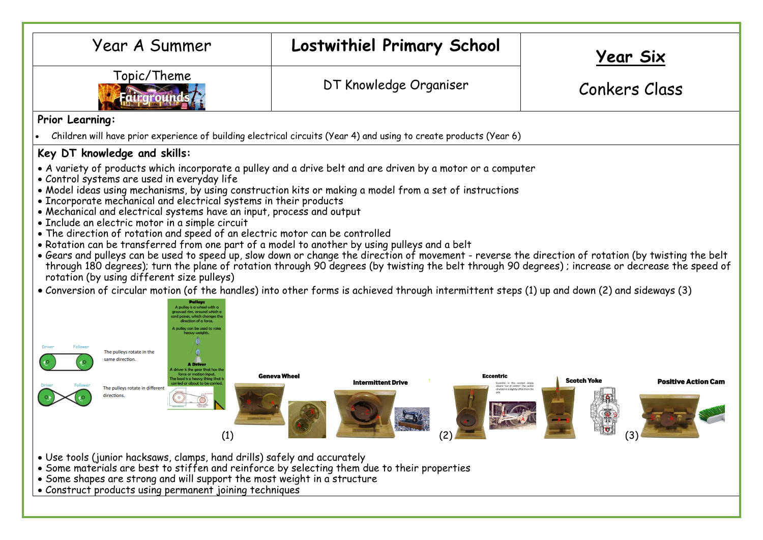| Year A Summer                                                                                                                                                                                                                                                                                                                                                                                                                                                                                                                                                                                                                                                                                                                                                                                                                                                                                                                                                                                                                                                                                                                                                                                                                                                            | <b>Lostwithiel Primary School</b> | <u>Year Six</u>                                         |  |  |  |  |  |
|--------------------------------------------------------------------------------------------------------------------------------------------------------------------------------------------------------------------------------------------------------------------------------------------------------------------------------------------------------------------------------------------------------------------------------------------------------------------------------------------------------------------------------------------------------------------------------------------------------------------------------------------------------------------------------------------------------------------------------------------------------------------------------------------------------------------------------------------------------------------------------------------------------------------------------------------------------------------------------------------------------------------------------------------------------------------------------------------------------------------------------------------------------------------------------------------------------------------------------------------------------------------------|-----------------------------------|---------------------------------------------------------|--|--|--|--|--|
| Topic/Theme                                                                                                                                                                                                                                                                                                                                                                                                                                                                                                                                                                                                                                                                                                                                                                                                                                                                                                                                                                                                                                                                                                                                                                                                                                                              | DT Knowledge Organiser            | Conkers Class                                           |  |  |  |  |  |
| Prior Learning:                                                                                                                                                                                                                                                                                                                                                                                                                                                                                                                                                                                                                                                                                                                                                                                                                                                                                                                                                                                                                                                                                                                                                                                                                                                          |                                   |                                                         |  |  |  |  |  |
| Children will have prior experience of building electrical circuits (Year 4) and using to create products (Year 6)                                                                                                                                                                                                                                                                                                                                                                                                                                                                                                                                                                                                                                                                                                                                                                                                                                                                                                                                                                                                                                                                                                                                                       |                                   |                                                         |  |  |  |  |  |
| Key DT knowledge and skills:                                                                                                                                                                                                                                                                                                                                                                                                                                                                                                                                                                                                                                                                                                                                                                                                                                                                                                                                                                                                                                                                                                                                                                                                                                             |                                   |                                                         |  |  |  |  |  |
| • A variety of products which incorporate a pulley and a drive belt and are driven by a motor or a computer<br>• Control systems are used in everyday life<br>• Model ideas using mechanisms, by using construction kits or making a model from a set of instructions<br>• Incorporate mechanical and electrical systems in their products<br>• Mechanical and electrical systems have an input, process and output<br>• Include an electric motor in a simple circuit<br>. The direction of rotation and speed of an electric motor can be controlled<br>. Rotation can be transferred from one part of a model to another by using pulleys and a belt<br>. Gears and pulleys can be used to speed up, slow down or change the direction of movement - reverse the direction of rotation (by twisting the belt<br>through 180 degrees); turn the plane of rotation through 90 degrees (by twisting the belt through 90 degrees); increase or decrease the speed of<br>rotation (by using different size pulleys)<br>• Conversion of circular motion (of the handles) into other forms is achieved through intermittent steps (1) up and down (2) and sideways (3)<br>The pulleys rotate in the<br>same direction<br><b>A</b> Driver<br><b>Geneva Wheel</b><br>Eccentric |                                   |                                                         |  |  |  |  |  |
| The pulleys rotate in different<br>directions.<br>$\odot$<br>(1)                                                                                                                                                                                                                                                                                                                                                                                                                                                                                                                                                                                                                                                                                                                                                                                                                                                                                                                                                                                                                                                                                                                                                                                                         | <b>Intermittent Drive</b><br>(2)  | <b>Scotch Yoke</b><br><b>Positive Action Cam</b><br>(3) |  |  |  |  |  |
| • Use tools (junior hacksaws, clamps, hand drills) safely and accurately<br>• Some materials are best to stiffen and reinforce by selecting them due to their properties<br>• Some shapes are strong and will support the most weight in a structure<br>• Construct products using permanent joining techniques                                                                                                                                                                                                                                                                                                                                                                                                                                                                                                                                                                                                                                                                                                                                                                                                                                                                                                                                                          |                                   |                                                         |  |  |  |  |  |